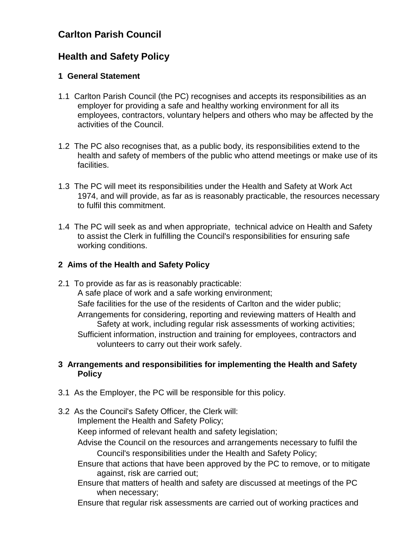# **Carlton Parish Council**

# **Health and Safety Policy**

#### **1 General Statement**

- 1.1 Carlton Parish Council (the PC) recognises and accepts its responsibilities as an employer for providing a safe and healthy working environment for all its employees, contractors, voluntary helpers and others who may be affected by the activities of the Council.
- 1.2 The PC also recognises that, as a public body, its responsibilities extend to the health and safety of members of the public who attend meetings or make use of its facilities.
- 1.3 The PC will meet its responsibilities under the Health and Safety at Work Act 1974, and will provide, as far as is reasonably practicable, the resources necessary to fulfil this commitment.
- 1.4 The PC will seek as and when appropriate, technical advice on Health and Safety to assist the Clerk in fulfilling the Council's responsibilities for ensuring safe working conditions.

## **2 Aims of the Health and Safety Policy**

2.1 To provide as far as is reasonably practicable: A safe place of work and a safe working environment; Safe facilities for the use of the residents of Carlton and the wider public; Arrangements for considering, reporting and reviewing matters of Health and Safety at work, including regular risk assessments of working activities; Sufficient information, instruction and training for employees, contractors and volunteers to carry out their work safely.

## **3 Arrangements and responsibilities for implementing the Health and Safety Policy**

- 3.1 As the Employer, the PC will be responsible for this policy.
- 3.2 As the Council's Safety Officer, the Clerk will:

Implement the Health and Safety Policy;

Keep informed of relevant health and safety legislation;

- Advise the Council on the resources and arrangements necessary to fulfil the Council's responsibilities under the Health and Safety Policy;
- Ensure that actions that have been approved by the PC to remove, or to mitigate against, risk are carried out;
- Ensure that matters of health and safety are discussed at meetings of the PC when necessary;
- Ensure that regular risk assessments are carried out of working practices and